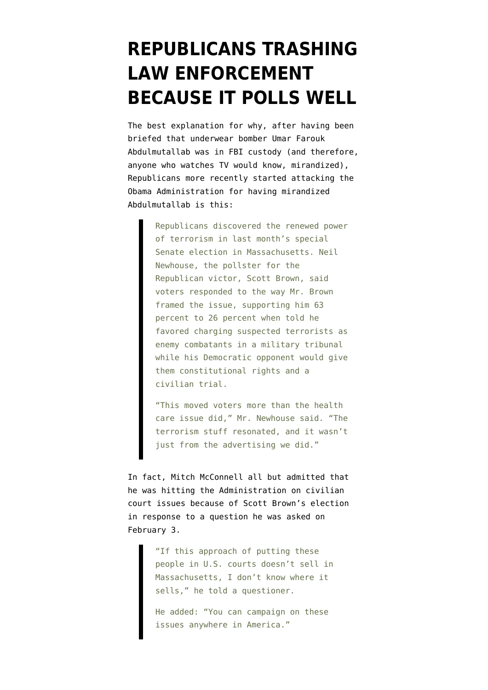## **[REPUBLICANS TRASHING](https://www.emptywheel.net/2010/02/09/republicans-trashing-law-enforcement-because-it-polls-well/) [LAW ENFORCEMENT](https://www.emptywheel.net/2010/02/09/republicans-trashing-law-enforcement-because-it-polls-well/) [BECAUSE IT POLLS WELL](https://www.emptywheel.net/2010/02/09/republicans-trashing-law-enforcement-because-it-polls-well/)**

The best explanation for why, after [having been](http://emptywheel.firedoglake.com/2010/02/07/and-now-theyre-disclaiming-responsibility-for-their-briefings/) [briefed](http://emptywheel.firedoglake.com/2010/02/07/and-now-theyre-disclaiming-responsibility-for-their-briefings/) that underwear bomber Umar Farouk Abdulmutallab was in FBI custody (and therefore, anyone who watches TV would know, mirandized), Republicans more recently started attacking the Obama Administration for having mirandized Abdulmutallab is [this](http://www.nytimes.com/2010/02/08/us/politics/08terror.html?ref=us):

> Republicans discovered the renewed power of terrorism in last month's special Senate election in Massachusetts. Neil Newhouse, the pollster for the Republican victor, Scott Brown, said voters responded to the way Mr. Brown framed the issue, supporting him 63 percent to 26 percent when told he favored charging suspected terrorists as enemy combatants in a military tribunal while his Democratic opponent would give them constitutional rights and a civilian trial.

> "This moved voters more than the health care issue did," Mr. Newhouse said. "The terrorism stuff resonated, and it wasn't just from the advertising we did."

In fact, Mitch McConnell all but admitted that he was hitting the Administration on civilian court issues because of Scott Brown's election [in response to a question he was asked](http://www.politico.com/news/stories/0210/32464.html#ixzz0f349PLL3) on February 3.

> "If this approach of putting these people in U.S. courts doesn't sell in Massachusetts, I don't know where it sells," he told a questioner.

He added: "You can campaign on these issues anywhere in America."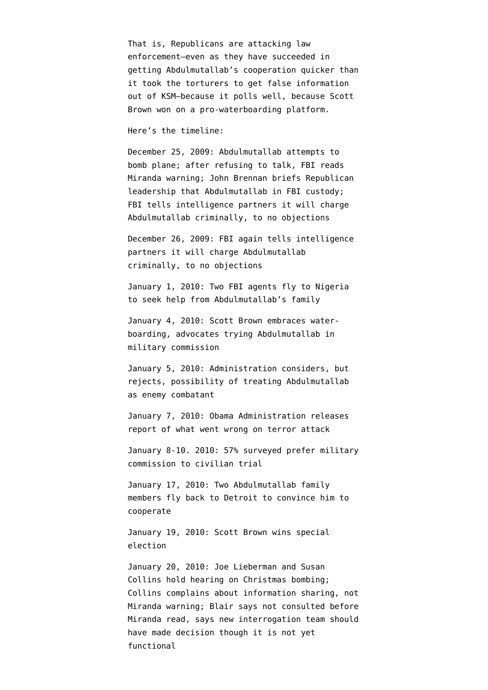That is, Republicans are attacking law enforcement–even as they have succeeded in getting Abdulmutallab's cooperation quicker than it took the torturers to get false information out of KSM–because it polls well, because Scott Brown won on a pro-waterboarding platform.

Here's the timeline:

December 25, 2009: Abdulmutallab attempts to bomb plane; after refusing to talk, FBI reads Miranda warning; John Brennan briefs Republican leadership that Abdulmutallab in FBI custody; FBI tells intelligence partners it will charge Abdulmutallab criminally, to no objections

December 26, 2009: FBI again [tells](https://www.emptywheel.net/FBI again tells intelligence partners it will charge Abdulmutallab criminally, to no objections) intelligence partners it will charge Abdulmutallab criminally, to no objections

January 1, 2010: Two FBI agents [fly](http://www.nytimes.com/2010/02/03/us/03terror.html) to Nigeria to seek help from Abdulmutallab's family

January 4, 2010: Scott Brown [embraces](http://www.boston.com/news/local/massachusetts/articles/2010/01/05/brown_coakley_clash_over_suspected_terrorists_rights/) waterboarding, advocates trying Abdulmutallab in military commission

January 5, 2010: Administration [considers,](http://emptywheel.firedoglake.com/2010/02/03/holder-to-republicans-stop-being-such-watbs-about-miranda-warnings-and-mukaseys-decisions/) but rejects, possibility of treating Abdulmutallab as enemy combatant

January 7, 2010: Obama Administration releases report of what went wrong on terror attack

January 8-10. 2010: 57% surveyed [prefer](http://www.pollingreport.com/terror.htm) military commission to civilian trial

January 17, 2010: Two Abdulmutallab family members [fly back](http://www.nytimes.com/2010/02/03/us/03terror.html) to Detroit to convince him to cooperate

January 19, 2010: Scott Brown wins special election

January 20, 2010: Joe Lieberman and Susan Collins [hold hearing](http://hsgac.senate.gov/public/index.cfm?FuseAction=Hearings.Hearing&Hearing_ID=db07fd72-c631-42ea-a514-215127425e3a) on Christmas bombing; Collins [complains](http://hsgac.senate.gov/public/index.cfm?FuseAction=Files.View&&FileStore_id=14245130-8dae-4fc7-b1dc-e7bd25f6ec35) about information sharing, not Miranda warning; Blair says not consulted before Miranda read, says new interrogation team should have made decision though it is not yet functional